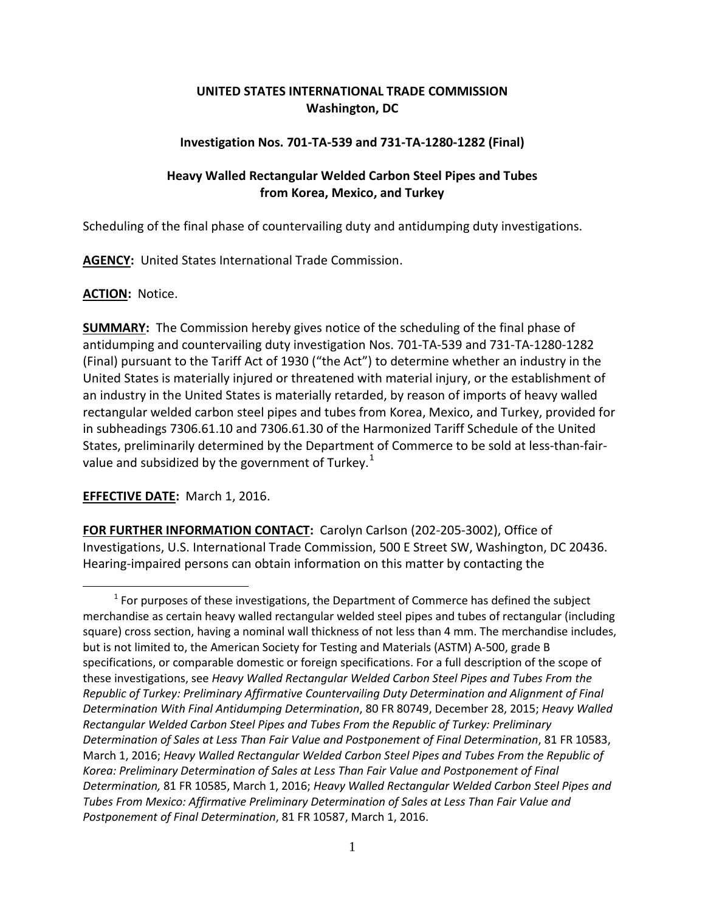# **UNITED STATES INTERNATIONAL TRADE COMMISSION Washington, DC**

## **Investigation Nos. 701-TA-539 and 731-TA-1280-1282 (Final)**

# **Heavy Walled Rectangular Welded Carbon Steel Pipes and Tubes from Korea, Mexico, and Turkey**

Scheduling of the final phase of countervailing duty and antidumping duty investigations.

**AGENCY:** United States International Trade Commission.

### **ACTION:** Notice.

 $\overline{a}$ 

**SUMMARY:** The Commission hereby gives notice of the scheduling of the final phase of antidumping and countervailing duty investigation Nos. 701-TA-539 and 731-TA-1280-1282 (Final) pursuant to the Tariff Act of 1930 ("the Act") to determine whether an industry in the United States is materially injured or threatened with material injury, or the establishment of an industry in the United States is materially retarded, by reason of imports of heavy walled rectangular welded carbon steel pipes and tubes from Korea, Mexico, and Turkey, provided for in subheadings 7306.61.10 and 7306.61.30 of the Harmonized Tariff Schedule of the United States, preliminarily determined by the Department of Commerce to be sold at less-than-fair-value and subsidized by the government of Turkey.<sup>[1](#page-0-0)</sup>

# **EFFECTIVE DATE:** March 1, 2016.

**FOR FURTHER INFORMATION CONTACT:** Carolyn Carlson (202-205-3002), Office of Investigations, U.S. International Trade Commission, 500 E Street SW, Washington, DC 20436. Hearing-impaired persons can obtain information on this matter by contacting the

<span id="page-0-0"></span> $<sup>1</sup>$  For purposes of these investigations, the Department of Commerce has defined the subject</sup> merchandise as certain heavy walled rectangular welded steel pipes and tubes of rectangular (including square) cross section, having a nominal wall thickness of not less than 4 mm. The merchandise includes, but is not limited to, the American Society for Testing and Materials (ASTM) A-500, grade B specifications, or comparable domestic or foreign specifications. For a full description of the scope of these investigations, see *Heavy Walled Rectangular Welded Carbon Steel Pipes and Tubes From the Republic of Turkey: Preliminary Affirmative Countervailing Duty Determination and Alignment of Final Determination With Final Antidumping Determination*, 80 FR 80749, December 28, 2015; *Heavy Walled Rectangular Welded Carbon Steel Pipes and Tubes From the Republic of Turkey: Preliminary Determination of Sales at Less Than Fair Value and Postponement of Final Determination*, 81 FR 10583, March 1, 2016; *Heavy Walled Rectangular Welded Carbon Steel Pipes and Tubes From the Republic of Korea: Preliminary Determination of Sales at Less Than Fair Value and Postponement of Final Determination,* 81 FR 10585, March 1, 2016; *Heavy Walled Rectangular Welded Carbon Steel Pipes and Tubes From Mexico: Affirmative Preliminary Determination of Sales at Less Than Fair Value and Postponement of Final Determination*, 81 FR 10587, March 1, 2016.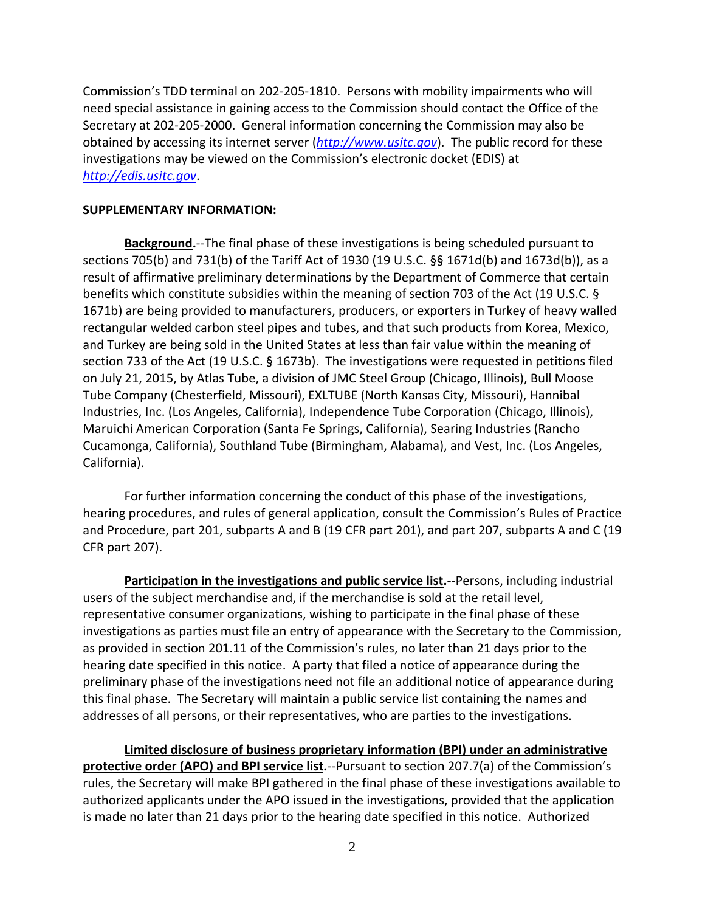Commission's TDD terminal on 202-205-1810. Persons with mobility impairments who will need special assistance in gaining access to the Commission should contact the Office of the Secretary at 202-205-2000. General information concerning the Commission may also be obtained by accessing its internet server (*[http://www.usitc.gov](http://www.usitc.gov/)*). The public record for these investigations may be viewed on the Commission's electronic docket (EDIS) at *[http://edis.usitc.gov](http://edis.usitc.gov/)*.

#### **SUPPLEMENTARY INFORMATION:**

**Background.**--The final phase of these investigations is being scheduled pursuant to sections 705(b) and 731(b) of the Tariff Act of 1930 (19 U.S.C. §§ 1671d(b) and 1673d(b)), as a result of affirmative preliminary determinations by the Department of Commerce that certain benefits which constitute subsidies within the meaning of section 703 of the Act (19 U.S.C. § 1671b) are being provided to manufacturers, producers, or exporters in Turkey of heavy walled rectangular welded carbon steel pipes and tubes, and that such products from Korea, Mexico, and Turkey are being sold in the United States at less than fair value within the meaning of section 733 of the Act (19 U.S.C. § 1673b). The investigations were requested in petitions filed on July 21, 2015, by Atlas Tube, a division of JMC Steel Group (Chicago, Illinois), Bull Moose Tube Company (Chesterfield, Missouri), EXLTUBE (North Kansas City, Missouri), Hannibal Industries, Inc. (Los Angeles, California), Independence Tube Corporation (Chicago, Illinois), Maruichi American Corporation (Santa Fe Springs, California), Searing Industries (Rancho Cucamonga, California), Southland Tube (Birmingham, Alabama), and Vest, Inc. (Los Angeles, California).

For further information concerning the conduct of this phase of the investigations, hearing procedures, and rules of general application, consult the Commission's Rules of Practice and Procedure, part 201, subparts A and B (19 CFR part 201), and part 207, subparts A and C (19 CFR part 207).

**Participation in the investigations and public service list.**--Persons, including industrial users of the subject merchandise and, if the merchandise is sold at the retail level, representative consumer organizations, wishing to participate in the final phase of these investigations as parties must file an entry of appearance with the Secretary to the Commission, as provided in section 201.11 of the Commission's rules, no later than 21 days prior to the hearing date specified in this notice. A party that filed a notice of appearance during the preliminary phase of the investigations need not file an additional notice of appearance during this final phase. The Secretary will maintain a public service list containing the names and addresses of all persons, or their representatives, who are parties to the investigations.

**Limited disclosure of business proprietary information (BPI) under an administrative protective order (APO) and BPI service list.**--Pursuant to section 207.7(a) of the Commission's rules, the Secretary will make BPI gathered in the final phase of these investigations available to authorized applicants under the APO issued in the investigations, provided that the application is made no later than 21 days prior to the hearing date specified in this notice. Authorized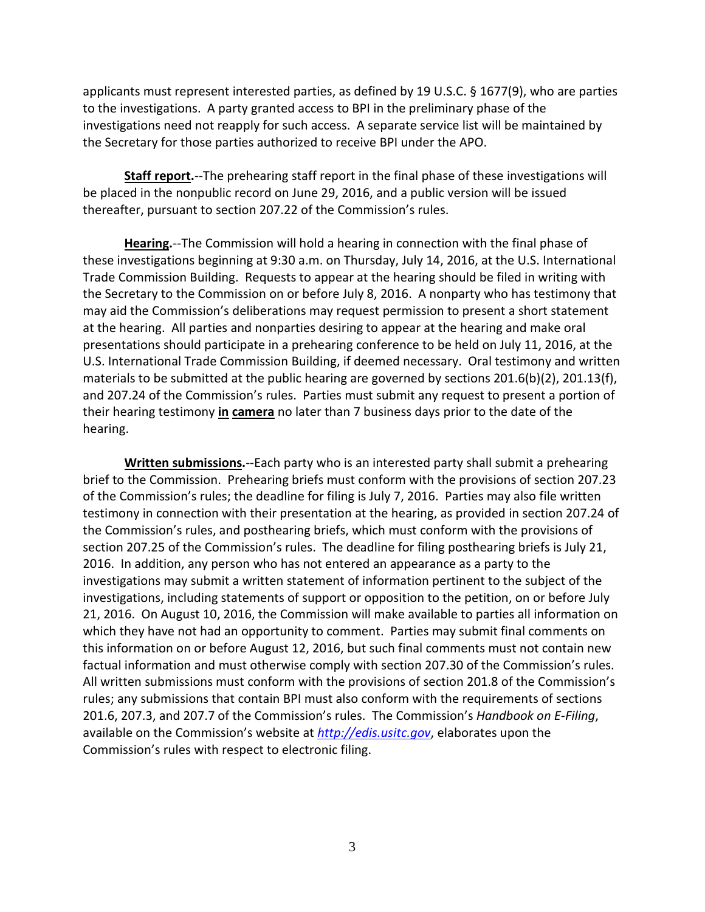applicants must represent interested parties, as defined by 19 U.S.C. § 1677(9), who are parties to the investigations. A party granted access to BPI in the preliminary phase of the investigations need not reapply for such access. A separate service list will be maintained by the Secretary for those parties authorized to receive BPI under the APO.

**Staff report.**--The prehearing staff report in the final phase of these investigations will be placed in the nonpublic record on June 29, 2016, and a public version will be issued thereafter, pursuant to section 207.22 of the Commission's rules.

**Hearing.**--The Commission will hold a hearing in connection with the final phase of these investigations beginning at 9:30 a.m. on Thursday, July 14, 2016, at the U.S. International Trade Commission Building. Requests to appear at the hearing should be filed in writing with the Secretary to the Commission on or before July 8, 2016. A nonparty who has testimony that may aid the Commission's deliberations may request permission to present a short statement at the hearing. All parties and nonparties desiring to appear at the hearing and make oral presentations should participate in a prehearing conference to be held on July 11, 2016, at the U.S. International Trade Commission Building, if deemed necessary. Oral testimony and written materials to be submitted at the public hearing are governed by sections 201.6(b)(2), 201.13(f), and 207.24 of the Commission's rules. Parties must submit any request to present a portion of their hearing testimony **in camera** no later than 7 business days prior to the date of the hearing.

**Written submissions.**--Each party who is an interested party shall submit a prehearing brief to the Commission. Prehearing briefs must conform with the provisions of section 207.23 of the Commission's rules; the deadline for filing is July 7, 2016. Parties may also file written testimony in connection with their presentation at the hearing, as provided in section 207.24 of the Commission's rules, and posthearing briefs, which must conform with the provisions of section 207.25 of the Commission's rules. The deadline for filing posthearing briefs is July 21, 2016. In addition, any person who has not entered an appearance as a party to the investigations may submit a written statement of information pertinent to the subject of the investigations, including statements of support or opposition to the petition, on or before July 21, 2016. On August 10, 2016, the Commission will make available to parties all information on which they have not had an opportunity to comment. Parties may submit final comments on this information on or before August 12, 2016, but such final comments must not contain new factual information and must otherwise comply with section 207.30 of the Commission's rules. All written submissions must conform with the provisions of section 201.8 of the Commission's rules; any submissions that contain BPI must also conform with the requirements of sections 201.6, 207.3, and 207.7 of the Commission's rules. The Commission's *Handbook on E-Filing*, available on the Commission's website at *[http://edis.usitc.gov](http://edis.usitc.gov/)*, elaborates upon the Commission's rules with respect to electronic filing.